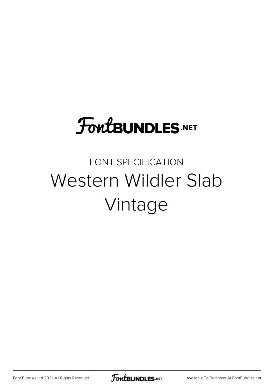# **FoutBUNDLES.NET**

#### FONT SPECIFICATION Western Wildler Slab Vintage

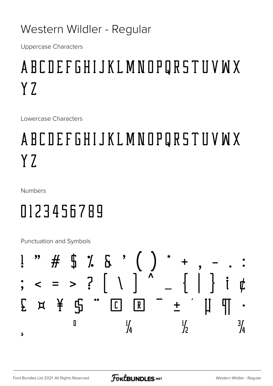#### Western Wildler - Regular

**Uppercase Characters** 

### ABCDEFGHIJKLMNOPQRSTUVWX Y<sub>Z</sub>

Lowercase Characters

# ABCDEFGHIJKLMNOPQRSTUVWX  $YZ$

**Numbers** 

## 0123456789

**Punctuation and Symbols** 

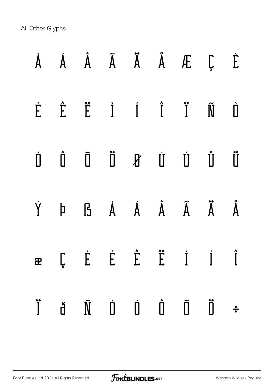All Other Glyphs

|  |  |  | À Á Â Ã Ã Ä Å Æ Ç È                                                                                                                                                                                                                                                                                                                                                                                                                                                                |  |
|--|--|--|------------------------------------------------------------------------------------------------------------------------------------------------------------------------------------------------------------------------------------------------------------------------------------------------------------------------------------------------------------------------------------------------------------------------------------------------------------------------------------|--|
|  |  |  | $\begin{array}{ccccccccccccc} \hat{E} & \hat{E} & \hat{E} & \hat{I} & \hat{I} & \hat{I} & \hat{I} & \tilde{M} & \hat{U} \end{array}$                                                                                                                                                                                                                                                                                                                                               |  |
|  |  |  | $\begin{matrix} \dot{\mathbb{D}} & \dot{\mathbb{D}} & \dot{\mathbb{D}} & \ddot{\mathbb{D}} & \mathbb{D} & \mathbb{D} & \dot{\mathbb{D}} & \dot{\mathbb{D}} & \dot{\mathbb{D}} & \dot{\mathbb{D}} & \dot{\mathbb{D}} & \dot{\mathbb{D}} & \dot{\mathbb{D}} & \dot{\mathbb{D}} & \dot{\mathbb{D}} & \dot{\mathbb{D}} & \dot{\mathbb{D}} & \dot{\mathbb{D}} & \dot{\mathbb{D}} & \dot{\mathbb{D}} & \dot{\mathbb{D}} & \dot{\mathbb{D}} & \dot{\mathbb{D}} & \dot{\mathbb{D}} & \dot$ |  |
|  |  |  | $\check{Y} \quad \not \vdash \quad \mathsf{B} \quad \dot{\mathsf{A}} \quad \acute{\mathsf{A}} \quad \hat{\mathsf{A}} \quad \tilde{\mathsf{A}} \quad \tilde{\mathsf{A}} \quad \tilde{\mathsf{A}}$                                                                                                                                                                                                                                                                                   |  |
|  |  |  | as $\int$ , $\dot{E}$ , $\dot{E}$ , $\dot{E}$ , $\dot{I}$ , $\dot{I}$ , $\dot{I}$                                                                                                                                                                                                                                                                                                                                                                                                  |  |
|  |  |  | $\ddot{\textbf{i}}$ $\ddot{\textbf{d}}$ $\ddot{\textbf{N}}$ $\dot{\textbf{l}}$ $\dot{\textbf{l}}$ $\ddot{\textbf{l}}$ $\ddot{\textbf{d}}$ $\ddot{\textbf{d}}$ $\ddot{\textbf{d}}$                                                                                                                                                                                                                                                                                                  |  |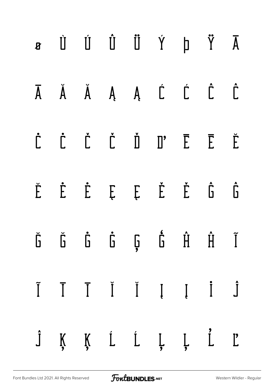|  |  | $\begin{array}{ccccccccccccccccc} \mathbf{A} & \mathbf{Y} & \mathbf{I} & \mathbf{I} & \mathbf{I} & \mathbf{I} & \mathbf{I} & \mathbf{I} & \mathbf{I} & \mathbf{B} & \mathbf{B} & \mathbf{B} & \mathbf{B} & \mathbf{B} & \mathbf{B} & \mathbf{B} & \mathbf{B} & \mathbf{B} & \mathbf{B} & \mathbf{B} & \mathbf{B} & \mathbf{B} & \mathbf{B} & \mathbf{B} & \mathbf{B} & \mathbf{B} & \mathbf{B} & \mathbf{B} & \mathbf{B} & \mathbf{B}$ |  |  |
|--|--|----------------------------------------------------------------------------------------------------------------------------------------------------------------------------------------------------------------------------------------------------------------------------------------------------------------------------------------------------------------------------------------------------------------------------------------|--|--|
|  |  | Ā Ă Ă Ą Ą Ć Ć Ĉ                                                                                                                                                                                                                                                                                                                                                                                                                        |  |  |
|  |  | $\dot{\mathsf{L}}\qquad \dot{\mathsf{L}}\qquad \dot{\mathsf{L}}\qquad \dot{\mathsf{L}}\qquad \dot{\mathsf{L}}\qquad \dot{\mathsf{L}}\qquad \mathsf{L}\qquad \dot{\mathsf{L}}\qquad \ddot{\mathsf{E}}\qquad \ddot{\mathsf{E}}\qquad \ddot{\mathsf{E}}\qquad \ddot{\mathsf{E}}$                                                                                                                                                          |  |  |
|  |  | $\check{E} \quad \  \  \, \mathring{E} \quad \  \  \, \mathring{E} \quad \  \  \, E \quad \  \  \, \mathring{E} \quad \  \  \, \mathring{E} \quad \  \  \, \mathring{E} \quad \  \  \, \mathring{G} \quad \  \  \, \mathring{G}$                                                                                                                                                                                                       |  |  |
|  |  | $\check{\mathsf{G}}\qquad \check{\mathsf{G}}\qquad \check{\mathsf{G}}\qquad \check{\mathsf{G}}\qquad \check{\mathsf{G}}\qquad \check{\mathsf{G}}\qquad \check{\mathsf{H}}\qquad \check{\mathsf{H}}\qquad \tilde{\mathsf{I}}\qquad \  \  \, \tilde{\mathsf{I}}$                                                                                                                                                                         |  |  |
|  |  | $\tilde{I}\qquad \overline{I}\qquad \overline{I}\qquad \breve{I}\qquad \breve{I}\qquad \overline{I}\qquad \hat{I}\qquad \hat{J}$                                                                                                                                                                                                                                                                                                       |  |  |
|  |  | $\hat{J} \quad \text{K} \quad \text{K} \quad \text{L} \quad \text{L} \quad \text{L} \quad \text{L} \quad \text{L} \quad \text{L}$                                                                                                                                                                                                                                                                                                      |  |  |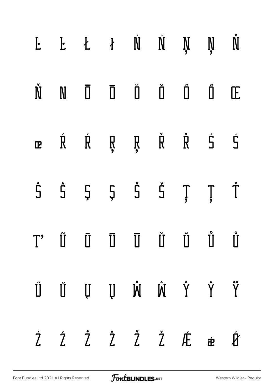|                                                   |  |  | $E$ $E$ $\ell$ $\ell$ $\mathbb{N}$ $\mathbb{N}$ $\mathbb{N}$ $\mathbb{N}$ $\mathbb{N}$                                                                                                                                               |                      |
|---------------------------------------------------|--|--|--------------------------------------------------------------------------------------------------------------------------------------------------------------------------------------------------------------------------------------|----------------------|
|                                                   |  |  | Ň N Ō Ō Ď Ď Ő Ű Œ                                                                                                                                                                                                                    |                      |
|                                                   |  |  | ce ŔŔŖŖŘŘŚ                                                                                                                                                                                                                           | $\mathsf{\acute{S}}$ |
| $\hat{\mathsf{S}}\hspace{0.4cm} \hat{\mathsf{S}}$ |  |  |                                                                                                                                                                                                                                      |                      |
|                                                   |  |  | $T' \quad \tilde{\text{I}} \qquad \tilde{\text{I}} \qquad \overline{\text{I}} \qquad \overline{\text{I}} \qquad \overline{\text{I}} \qquad \text{I} \qquad \text{I} \qquad \text{I} \qquad \text{I} \qquad \text{I} \qquad \text{I}$ |                      |
|                                                   |  |  | $\ddot{\gamma} \qquad \dot{\gamma} \qquad \dot{\gamma} \qquad \dot{\mu} \qquad \dot{\mu} \qquad \dot{\mu} \qquad \dot{\mu} \qquad \ddot{\eta} \qquad \ddot{\eta} \qquad \ddot{\eta} \qquad$                                          |                      |
|                                                   |  |  | $\dot{Z}$ $\dot{Z}$ $\dot{Z}$ $\dot{Z}$ $\dot{Z}$ $\dot{E}$ $\dot{E}$ $\dot{B}$                                                                                                                                                      |                      |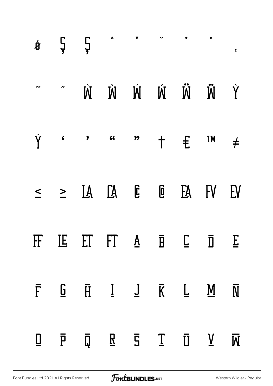|             |                         |                         | $\dot{x}$ $\frac{\pi}{2}$ $\frac{\pi}{2}$ $\frac{\pi}{2}$ $\frac{\pi}{2}$ $\frac{\pi}{2}$ $\frac{\pi}{2}$ $\frac{\pi}{2}$ $\frac{\pi}{2}$ $\frac{\pi}{2}$ $\frac{\pi}{2}$ $\frac{\pi}{2}$ |  |                         |                          |                         |
|-------------|-------------------------|-------------------------|-------------------------------------------------------------------------------------------------------------------------------------------------------------------------------------------|--|-------------------------|--------------------------|-------------------------|
|             |                         |                         | Ý Ŵ Ŵ Ŵ Ŵ Ŵ m                                                                                                                                                                             |  |                         |                          |                         |
|             |                         |                         | $\dot{Y}$ ( ) (( )) $\uparrow$ $\uparrow$ $\uparrow$ $\uparrow$                                                                                                                           |  |                         |                          |                         |
|             |                         |                         | $\leq$ $\geq$ $IA$ $CA$ $E$ $E$ $EA$ $FV$ $EV$                                                                                                                                            |  |                         |                          |                         |
| $\mathbb F$ |                         |                         | <b>JEET FT A E D</b>                                                                                                                                                                      |  |                         |                          | E                       |
| $\bar{F}$   | $\overline{\mathbf{P}}$ |                         | $\bar{H}$ $I$ $J$ $\bar{K}$ $L$                                                                                                                                                           |  |                         | $\underline{\mathbf{M}}$ | $\overline{\text{N}}$   |
| <u>U</u>    | $\bar{P}$               | $\overline{\mathsf{Q}}$ |                                                                                                                                                                                           |  | $R$ 5 $T$ $\bar{U}$ $Y$ |                          | $\overline{\mathsf{M}}$ |